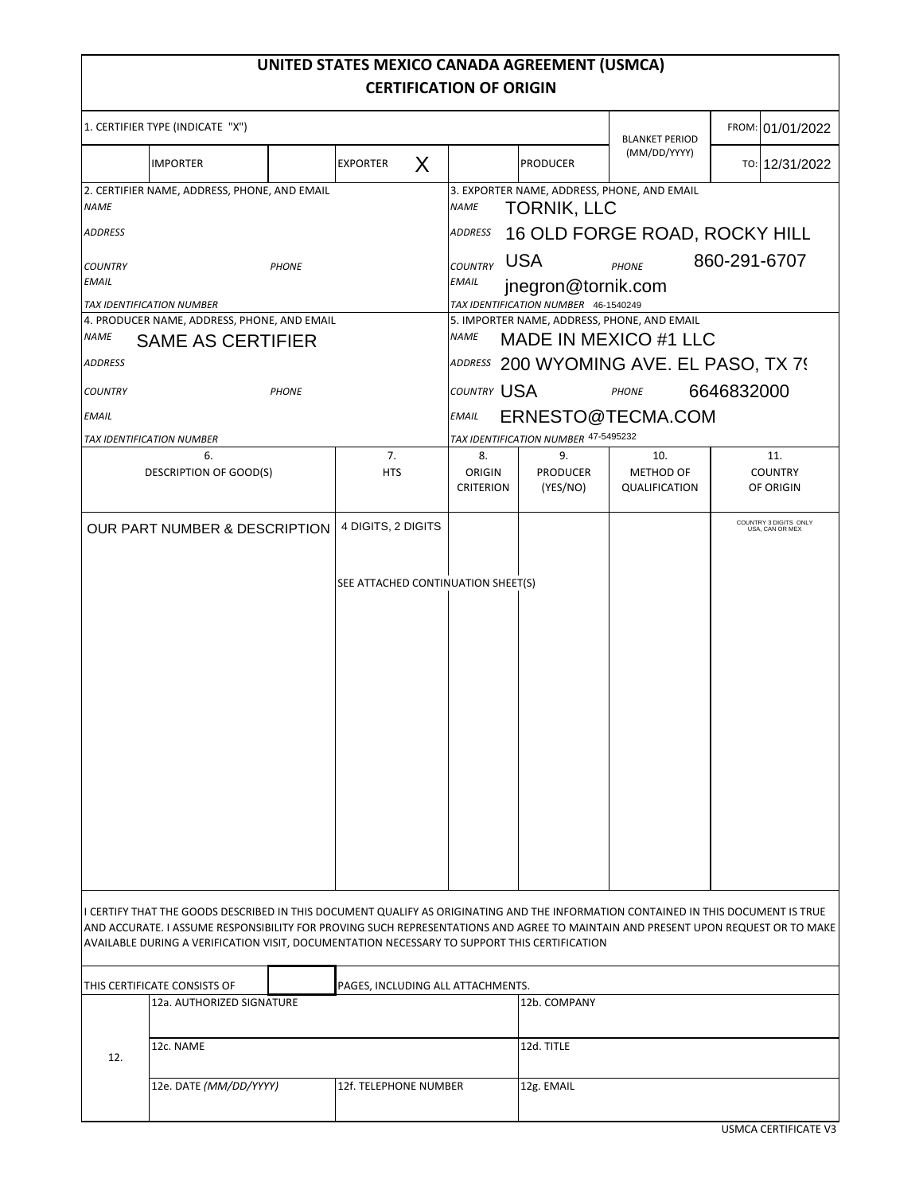# **UNITED STATES MEXICO CANADA AGREEMENT (USMCA) CERTIFICATION OF ORIGIN**

| 1. CERTIFIER TYPE (INDICATE "X")                                                |                                                                                              |  |                       |                                      |                                                                                     |                                   | <b>BLANKET PERIOD</b>                    | FROM: 01/01/2022                                                                                                                                                                                                                                                      |  |
|---------------------------------------------------------------------------------|----------------------------------------------------------------------------------------------|--|-----------------------|--------------------------------------|-------------------------------------------------------------------------------------|-----------------------------------|------------------------------------------|-----------------------------------------------------------------------------------------------------------------------------------------------------------------------------------------------------------------------------------------------------------------------|--|
|                                                                                 | <b>IMPORTER</b>                                                                              |  | <b>EXPORTER</b>       | X                                    |                                                                                     | <b>PRODUCER</b>                   | (MM/DD/YYYY)                             | TO: 12/31/2022                                                                                                                                                                                                                                                        |  |
| 2. CERTIFIER NAME, ADDRESS, PHONE, AND EMAIL<br><b>NAME</b>                     |                                                                                              |  |                       |                                      | 3. EXPORTER NAME, ADDRESS, PHONE, AND EMAIL<br><b>NAME</b><br><b>TORNIK, LLC</b>    |                                   |                                          |                                                                                                                                                                                                                                                                       |  |
| <b>ADDRESS</b>                                                                  |                                                                                              |  |                       |                                      | 16 OLD FORGE ROAD, ROCKY HILL<br><b>ADDRESS</b>                                     |                                   |                                          |                                                                                                                                                                                                                                                                       |  |
| <b>COUNTRY</b><br><b>PHONE</b>                                                  |                                                                                              |  |                       |                                      | <b>USA</b><br>860-291-6707<br><b>COUNTRY</b><br><b>PHONE</b>                        |                                   |                                          |                                                                                                                                                                                                                                                                       |  |
| EMAIL                                                                           |                                                                                              |  |                       |                                      | <b>EMAIL</b><br>jnegron@tornik.com                                                  |                                   |                                          |                                                                                                                                                                                                                                                                       |  |
|                                                                                 | TAX IDENTIFICATION NUMBER                                                                    |  |                       |                                      | TAX IDENTIFICATION NUMBER 46-1540249<br>5. IMPORTER NAME, ADDRESS, PHONE, AND EMAIL |                                   |                                          |                                                                                                                                                                                                                                                                       |  |
| 4. PRODUCER NAME, ADDRESS, PHONE, AND EMAIL<br>NAME<br><b>SAME AS CERTIFIER</b> |                                                                                              |  |                       |                                      | MADE IN MEXICO #1 LLC<br><b>NAME</b>                                                |                                   |                                          |                                                                                                                                                                                                                                                                       |  |
| ADDRESS                                                                         |                                                                                              |  |                       |                                      | ADDRESS 200 WYOMING AVE. EL PASO, TX 79                                             |                                   |                                          |                                                                                                                                                                                                                                                                       |  |
| <b>COUNTRY</b>                                                                  | <b>PHONE</b>                                                                                 |  |                       |                                      | <b>COUNTRY USA</b>                                                                  |                                   | <b>PHONE</b>                             | 6646832000                                                                                                                                                                                                                                                            |  |
| <b>EMAIL</b>                                                                    |                                                                                              |  |                       |                                      | ERNESTO@TECMA.COM<br><b>EMAIL</b>                                                   |                                   |                                          |                                                                                                                                                                                                                                                                       |  |
|                                                                                 | TAX IDENTIFICATION NUMBER                                                                    |  |                       | TAX IDENTIFICATION NUMBER 47-5495232 |                                                                                     |                                   |                                          |                                                                                                                                                                                                                                                                       |  |
|                                                                                 | 6.<br>DESCRIPTION OF GOOD(S)                                                                 |  | 7.<br><b>HTS</b>      |                                      | 8.<br>ORIGIN<br><b>CRITERION</b>                                                    | 9.<br><b>PRODUCER</b><br>(YES/NO) | 10.<br><b>METHOD OF</b><br>QUALIFICATION | 11.<br><b>COUNTRY</b><br>OF ORIGIN                                                                                                                                                                                                                                    |  |
| 4 DIGITS, 2 DIGITS<br>OUR PART NUMBER & DESCRIPTION                             |                                                                                              |  |                       |                                      |                                                                                     |                                   |                                          | COUNTRY 3 DIGITS ONLY<br>USA, CAN OR MEX                                                                                                                                                                                                                              |  |
|                                                                                 |                                                                                              |  |                       |                                      |                                                                                     |                                   |                                          |                                                                                                                                                                                                                                                                       |  |
| SEE ATTACHED CONTINUATION SHEET(S)                                              |                                                                                              |  |                       |                                      |                                                                                     |                                   |                                          |                                                                                                                                                                                                                                                                       |  |
|                                                                                 |                                                                                              |  |                       |                                      |                                                                                     |                                   |                                          |                                                                                                                                                                                                                                                                       |  |
|                                                                                 |                                                                                              |  |                       |                                      |                                                                                     |                                   |                                          |                                                                                                                                                                                                                                                                       |  |
|                                                                                 |                                                                                              |  |                       |                                      |                                                                                     |                                   |                                          |                                                                                                                                                                                                                                                                       |  |
|                                                                                 |                                                                                              |  |                       |                                      |                                                                                     |                                   |                                          |                                                                                                                                                                                                                                                                       |  |
|                                                                                 |                                                                                              |  |                       |                                      |                                                                                     |                                   |                                          |                                                                                                                                                                                                                                                                       |  |
|                                                                                 |                                                                                              |  |                       |                                      |                                                                                     |                                   |                                          |                                                                                                                                                                                                                                                                       |  |
|                                                                                 |                                                                                              |  |                       |                                      |                                                                                     |                                   |                                          |                                                                                                                                                                                                                                                                       |  |
|                                                                                 |                                                                                              |  |                       |                                      |                                                                                     |                                   |                                          |                                                                                                                                                                                                                                                                       |  |
|                                                                                 |                                                                                              |  |                       |                                      |                                                                                     |                                   |                                          |                                                                                                                                                                                                                                                                       |  |
|                                                                                 |                                                                                              |  |                       |                                      |                                                                                     |                                   |                                          |                                                                                                                                                                                                                                                                       |  |
|                                                                                 |                                                                                              |  |                       |                                      |                                                                                     |                                   |                                          |                                                                                                                                                                                                                                                                       |  |
|                                                                                 |                                                                                              |  |                       |                                      |                                                                                     |                                   |                                          |                                                                                                                                                                                                                                                                       |  |
|                                                                                 |                                                                                              |  |                       |                                      |                                                                                     |                                   |                                          |                                                                                                                                                                                                                                                                       |  |
|                                                                                 |                                                                                              |  |                       |                                      |                                                                                     |                                   |                                          | I CERTIFY THAT THE GOODS DESCRIBED IN THIS DOCUMENT QUALIFY AS ORIGINATING AND THE INFORMATION CONTAINED IN THIS DOCUMENT IS TRUE<br>AND ACCURATE. I ASSUME RESPONSIBILITY FOR PROVING SUCH REPRESENTATIONS AND AGREE TO MAINTAIN AND PRESENT UPON REQUEST OR TO MAKE |  |
|                                                                                 | AVAILABLE DURING A VERIFICATION VISIT, DOCUMENTATION NECESSARY TO SUPPORT THIS CERTIFICATION |  |                       |                                      |                                                                                     |                                   |                                          |                                                                                                                                                                                                                                                                       |  |
|                                                                                 | THIS CERTIFICATE CONSISTS OF                                                                 |  |                       | PAGES, INCLUDING ALL ATTACHMENTS.    |                                                                                     |                                   |                                          |                                                                                                                                                                                                                                                                       |  |
| 12a. AUTHORIZED SIGNATURE                                                       |                                                                                              |  |                       |                                      | 12b. COMPANY                                                                        |                                   |                                          |                                                                                                                                                                                                                                                                       |  |
|                                                                                 | 12c. NAME                                                                                    |  |                       |                                      |                                                                                     | 12d. TITLE                        |                                          |                                                                                                                                                                                                                                                                       |  |
| 12.                                                                             |                                                                                              |  |                       |                                      |                                                                                     |                                   |                                          |                                                                                                                                                                                                                                                                       |  |
|                                                                                 | 12e. DATE (MM/DD/YYYY)                                                                       |  | 12f. TELEPHONE NUMBER |                                      |                                                                                     | 12g. EMAIL                        |                                          |                                                                                                                                                                                                                                                                       |  |